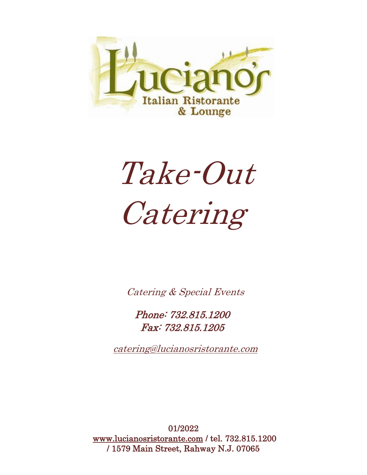

# Take-Out Catering

Catering & Special Events

Phone: 732.815.1200 Fax: 732.815.1205

catering@lucianosristorante.com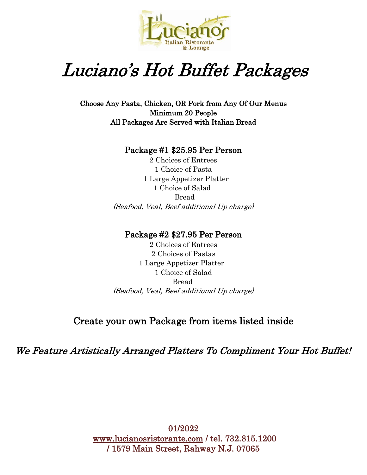

# Luciano's Hot Buffet Packages

Choose Any Pasta, Chicken, OR Pork from Any Of Our Menus Minimum 20 People All Packages Are Served with Italian Bread

#### Package #1 \$25.95 Per Person

2 Choices of Entrees 1 Choice of Pasta 1 Large Appetizer Platter 1 Choice of Salad Bread (Seafood, Veal, Beef additional Up charge)

#### Package #2 \$27.95 Per Person

2 Choices of Entrees 2 Choices of Pastas 1 Large Appetizer Platter 1 Choice of Salad Bread (Seafood, Veal, Beef additional Up charge)

## Create your own Package from items listed inside

We Feature Artistically Arranged Platters To Compliment Your Hot Buffet! I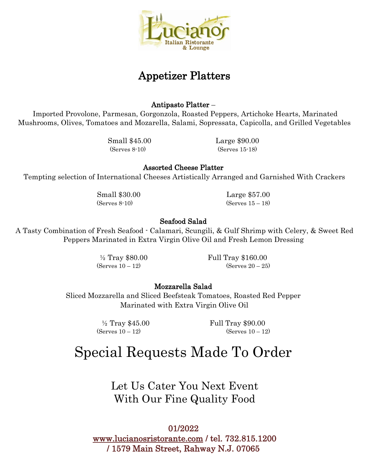

## Appetizer Platters

#### Antipasto Platter –

Imported Provolone, Parmesan, Gorgonzola, Roasted Peppers, Artichoke Hearts, Marinated Mushrooms, Olives, Tomatoes and Mozarella, Salami, Sopressata, Capicolla, and Grilled Vegetables

Small \$45.00 Large \$90.00 (Serves 8-10) (Serves 15-18)

Assorted Cheese Platter

Tempting selection of International Cheeses Artistically Arranged and Garnished With Crackers

Small \$30.00 Large \$57.00  $(Serves 8-10)$   $(Serves 15-18)$ 

#### Seafood Salad

A Tasty Combination of Fresh Seafood - Calamari, Scungili, & Gulf Shrimp with Celery, & Sweet Red Peppers Marinated in Extra Virgin Olive Oil and Fresh Lemon Dressing

<sup>1</sup>/<sub>2</sub> Tray \$80.00 Full Tray \$160.00  $(Serves 10 - 12)$   $(Serves 20 - 25)$ 

#### Mozzarella Salad

Sliced Mozzarella and Sliced Beefsteak Tomatoes, Roasted Red Pepper Marinated with Extra Virgin Olive Oil

½ Tray \$45.00 Full Tray \$90.00  $(Serves 10 - 12)$   $(Serves 10 - 12)$ 

# Special Requests Made To Order

Let Us Cater You Next Event With Our Fine Quality Food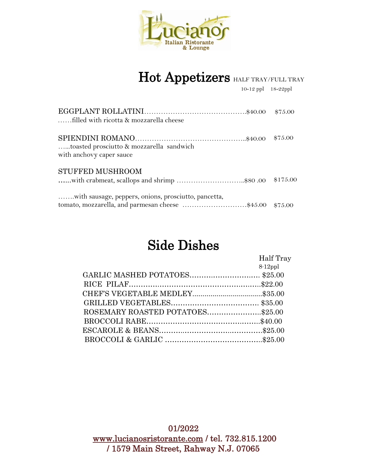

# Hot Appetizers HALF TRAY/FULL TRAY

10-12 ppl 18-22ppl

| filled with ricotta & mozzarella cheese                                                                         | \$75.00  |
|-----------------------------------------------------------------------------------------------------------------|----------|
| toasted prosciutto & mozzarella sandwich<br>with anchovy caper sauce                                            | \$75.00  |
| STUFFED MUSHROOM<br>with crabmeat, scallops and shrimp \$80.00                                                  | \$175.00 |
| with sausage, peppers, onions, prosciutto, pancetta,<br>tomato, mozzarella, and parmesan cheese \$45.00 \$75.00 |          |

# Side Dishes

|                                  | Half Tray  |
|----------------------------------|------------|
|                                  | $8-12$ ppl |
| GARLIC MASHED POTATOES\$25.00    |            |
|                                  |            |
|                                  |            |
|                                  |            |
| ROSEMARY ROASTED POTATOES\$25.00 |            |
|                                  |            |
|                                  |            |
|                                  |            |
|                                  |            |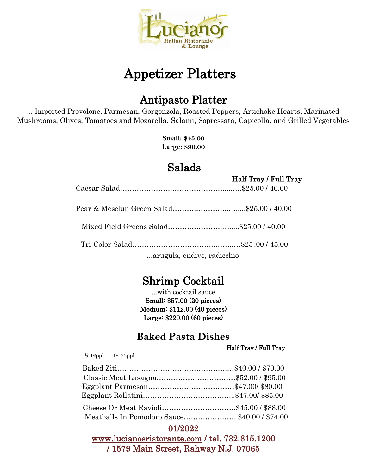

# Appetizer Platters

## Antipasto Platter

... Imported Provolone, Parmesan, Gorgonzola, Roasted Peppers, Artichoke Hearts, Marinated Mushrooms, Olives, Tomatoes and Mozarella, Salami, Sopressata, Capicolla, and Grilled Vegetables

> **Small: \$45.00 Large: \$90.00**

## Salads

Half Tray / Full Tray

Caesar Salad………………….………………….....….\$25.00 / 40.00

| arugula, endive, radicchio |  |
|----------------------------|--|

## Shrimp Cocktail

...with cocktail sauce Small: \$57.00 (20 pieces) Medium: \$112.00 (40 pieces) Large: \$220.00 (60 pieces)

## **Baked Pasta Dishes**

Half Tray / Full Tray

8-12ppl 18-22ppl

| Meatballs In Pomodoro Sauce\$40.00 / \$74.00 |  |
|----------------------------------------------|--|

## 01/2022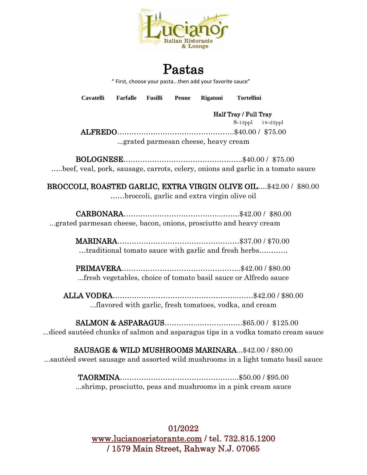

## Pastas

" First, choose your pasta...then add your favorite sauce"

**Cavatelli Farfalle Fusilli Penne Rigatoni Tortellini** 

Half Tray / Full Tray

 8-12ppl 18-22ppl ALFREDO………………………………………….\$40.00 / \$75.00 ...grated parmesan cheese, heavy cream

BOLOGNESE…………………………………………..\$40.00 / \$75.00 …..beef, veal, pork, sausage, carrots, celery, onions and garlic in a tomato sauce

BROCCOLI, ROASTED GARLIC, EXTRA VIRGIN OLIVE OIL….\$42.00 / \$80.00 ……broccoli, garlic and extra virgin olive oil

CARBONARA…………………………………...…….\$42.00 / \$80.00 ...grated parmesan cheese, bacon, onions, prosciutto and heavy cream

> MARINARA……………………………………………\$37.00 / \$70.00 …traditional tomato sauce with garlic and fresh herbs…………

> PRIMAVERA…………………………………………..\$42.00 / \$80.00 ...fresh vegetables, choice of tomato basil sauce or Alfredo sauce

ALLA VODKA……………………………………………..……\$42.00 / \$80.00 ...flavored with garlic, fresh tomatoes, vodka, and cream

SALMON & ASPARAGUS…………..……………….\$65.00 / \$125.00 ...diced sautéed chunks of salmon and asparagus tips in a vodka tomato cream sauce

SAUSAGE & WILD MUSHROOMS MARINARA...\$42.00 / \$80.00 ...sautéed sweet sausage and assorted wild mushrooms in a light tomato basil sauce

> TAORMINA…………………………………………..\$50.00 / \$95.00 ...shrimp, prosciutto, peas and mushrooms in a pink cream sauce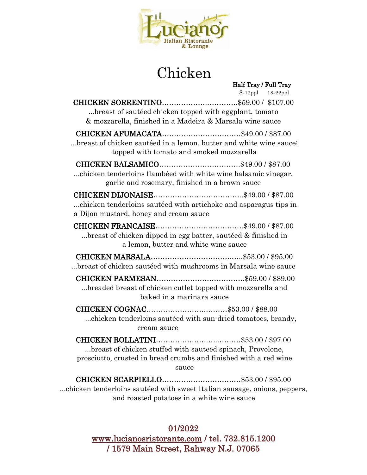

# Chicken

| Half Tray / Full Tray                                              |  |
|--------------------------------------------------------------------|--|
| 8-12ppl 18-22ppl                                                   |  |
|                                                                    |  |
| breast of sautéed chicken topped with eggplant, tomato             |  |
| & mozzarella, finished in a Madeira & Marsala wine sauce           |  |
|                                                                    |  |
| breast of chicken sautéed in a lemon, butter and white wine sauce; |  |
| topped with tomato and smoked mozzarella                           |  |
|                                                                    |  |
| chicken tenderloins flambéed with white wine balsamic vinegar,     |  |
| garlic and rosemary, finished in a brown sauce                     |  |
|                                                                    |  |
| chicken tenderloins sautéed with artichoke and asparagus tips in   |  |
| a Dijon mustard, honey and cream sauce                             |  |
|                                                                    |  |
|                                                                    |  |
| breast of chicken dipped in egg batter, sautéed & finished in      |  |
| a lemon, butter and white wine sauce                               |  |
|                                                                    |  |
| breast of chicken sautéed with mushrooms in Marsala wine sauce     |  |
|                                                                    |  |
| breaded breast of chicken cutlet topped with mozzarella and        |  |
| baked in a marinara sauce                                          |  |
|                                                                    |  |
| chicken tenderloins sautéed with sun-dried tomatoes, brandy,       |  |
| cream sauce                                                        |  |
|                                                                    |  |
| breast of chicken stuffed with sauteed spinach, Provolone,         |  |
| prosciutto, crusted in bread crumbs and finished with a red wine   |  |
| sauce                                                              |  |
|                                                                    |  |
|                                                                    |  |

...chicken tenderloins sautéed with sweet Italian sausage, onions, peppers, and roasted potatoes in a white wine sauce

### 01/2022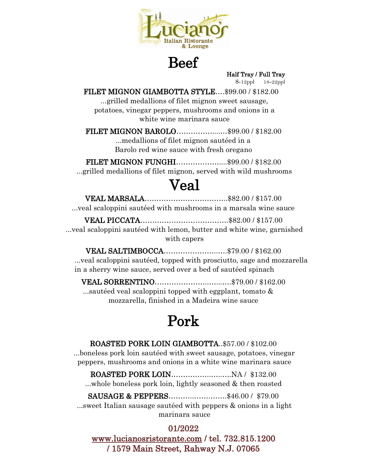

Beef

Half Tray / Full Tray

8-12ppl 18-22ppl

FILET MIGNON GIAMBOTTA STYLE….\$99.00 / \$182.00

...grilled medallions of filet mignon sweet sausage, potatoes, vinegar peppers, mushrooms and onions in a white wine marinara sauce

FILET MIGNON BAROLO……………....…\$99.00 / \$182.00 ...medallions of filet mignon sautéed in a Barolo red wine sauce with fresh oregano

FILET MIGNON FUNGHI………………....\$99.00 / \$182.00 ...grilled medallions of filet mignon, served with wild mushrooms

## Veal

VEAL MARSALA……………………………..\$82.00 / \$157.00 ...veal scaloppini sautéed with mushrooms in a marsala wine sauce

VEAL PICCATA……………………………….\$82.00 / \$157.00 ...veal scaloppini sautéed with lemon, butter and white wine, garnished with capers

VEAL SALTIMBOCCA…………………..….\$79.00 / \$162.00 ...veal scaloppini sautéed, topped with prosciutto, sage and mozzarella in a sherry wine sauce, served over a bed of sautéed spinach

VEAL SORRENTINO…………………..…...….\$79.00 / \$162.00 ...sautéed veal scaloppini topped with eggplant, tomato & mozzarella, finished in a Madeira wine sauce

# Pork

ROASTED PORK LOIN GIAMBOTTA..\$57.00 / \$102.00 ...boneless pork loin sautéed with sweet sausage, potatoes, vinegar peppers, mushrooms and onions in a white wine marinara sauce

ROASTED PORK LOIN……………..…..….NA / \$132.00 ...whole boneless pork loin, lightly seasoned & then roasted

#### SAUSAGE & PEPPERS..........................\$46.00 / \$79.00

...sweet Italian sausage sautéed with peppers & onions in a light marinara sauce

#### 01/2022